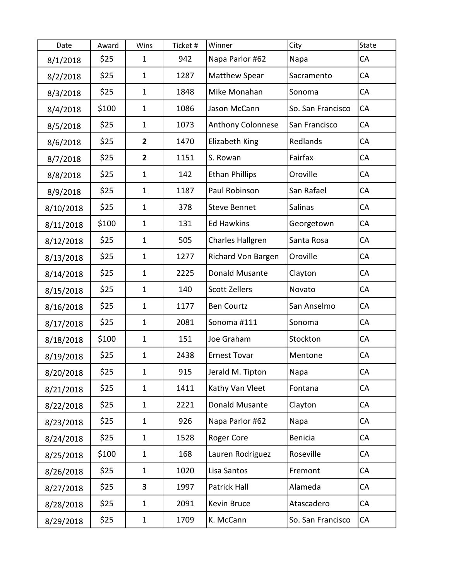| Date      | Award | Wins           | Ticket# | Winner                  | City              | State |
|-----------|-------|----------------|---------|-------------------------|-------------------|-------|
| 8/1/2018  | \$25  | $\mathbf{1}$   | 942     | Napa Parlor #62         | Napa              | CA    |
| 8/2/2018  | \$25  | $\mathbf{1}$   | 1287    | <b>Matthew Spear</b>    | Sacramento        | CA    |
| 8/3/2018  | \$25  | $\mathbf{1}$   | 1848    | Mike Monahan            | Sonoma            | CA    |
| 8/4/2018  | \$100 | $\mathbf{1}$   | 1086    | Jason McCann            | So. San Francisco | CA    |
| 8/5/2018  | \$25  | $\mathbf{1}$   | 1073    | Anthony Colonnese       | San Francisco     | CA    |
| 8/6/2018  | \$25  | $\mathbf{2}$   | 1470    | Elizabeth King          | Redlands          | СA    |
| 8/7/2018  | \$25  | $\overline{2}$ | 1151    | S. Rowan                | Fairfax           | CA    |
| 8/8/2018  | \$25  | $\mathbf{1}$   | 142     | <b>Ethan Phillips</b>   | Oroville          | CA    |
| 8/9/2018  | \$25  | $\mathbf{1}$   | 1187    | Paul Robinson           | San Rafael        | CA    |
| 8/10/2018 | \$25  | $\mathbf{1}$   | 378     | <b>Steve Bennet</b>     | Salinas           | CA    |
| 8/11/2018 | \$100 | $\mathbf{1}$   | 131     | <b>Ed Hawkins</b>       | Georgetown        | CA    |
| 8/12/2018 | \$25  | $\mathbf{1}$   | 505     | <b>Charles Hallgren</b> | Santa Rosa        | CA    |
| 8/13/2018 | \$25  | $\mathbf{1}$   | 1277    | Richard Von Bargen      | Oroville          | CA    |
| 8/14/2018 | \$25  | $\mathbf{1}$   | 2225    | Donald Musante          | Clayton           | СA    |
| 8/15/2018 | \$25  | $\mathbf{1}$   | 140     | <b>Scott Zellers</b>    | Novato            | CA    |
| 8/16/2018 | \$25  | $\mathbf{1}$   | 1177    | <b>Ben Courtz</b>       | San Anselmo       | CA    |
| 8/17/2018 | \$25  | $\mathbf{1}$   | 2081    | Sonoma #111             | Sonoma            | CA    |
| 8/18/2018 | \$100 | $\mathbf{1}$   | 151     | Joe Graham              | Stockton          | CA    |
| 8/19/2018 | \$25  | $\mathbf{1}$   | 2438    | <b>Ernest Tovar</b>     | Mentone           | CA    |
| 8/20/2018 | \$25  | $\mathbf{1}$   | 915     | Jerald M. Tipton        | Napa              | CA    |
| 8/21/2018 | \$25  | $\mathbf{1}$   | 1411    | Kathy Van Vleet         | Fontana           | CA    |
| 8/22/2018 | \$25  | $\mathbf{1}$   | 2221    | Donald Musante          | Clayton           | CA    |
| 8/23/2018 | \$25  | $\mathbf{1}$   | 926     | Napa Parlor #62         | Napa              | CA    |
| 8/24/2018 | \$25  | $\mathbf 1$    | 1528    | Roger Core              | <b>Benicia</b>    | CA    |
| 8/25/2018 | \$100 | $\mathbf{1}$   | 168     | Lauren Rodriguez        | Roseville         | CA    |
| 8/26/2018 | \$25  | $\mathbf{1}$   | 1020    | Lisa Santos             | Fremont           | CA    |
| 8/27/2018 | \$25  | 3              | 1997    | Patrick Hall            | Alameda           | CA    |
| 8/28/2018 | \$25  | $\mathbf{1}$   | 2091    | Kevin Bruce             | Atascadero        | CA    |
| 8/29/2018 | \$25  | $\mathbf{1}$   | 1709    | K. McCann               | So. San Francisco | CA    |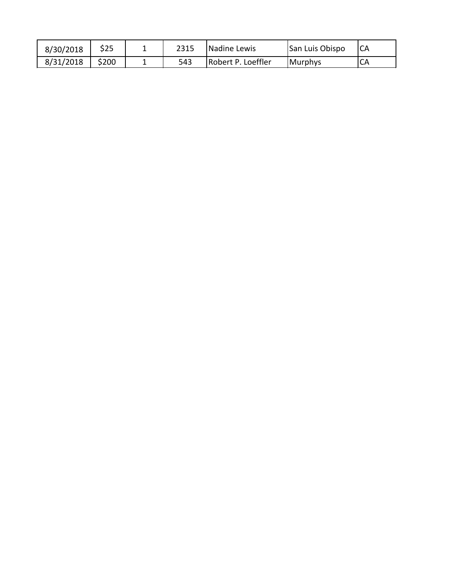| 8/30/2018 | \$25  | 2315 | Nadine Lewis       | San Luis Obispo | <b>ICA</b> |
|-----------|-------|------|--------------------|-----------------|------------|
| 8/31/2018 | \$200 | 543  | Robert P. Loeffler | <b>Murphys</b>  | CA         |